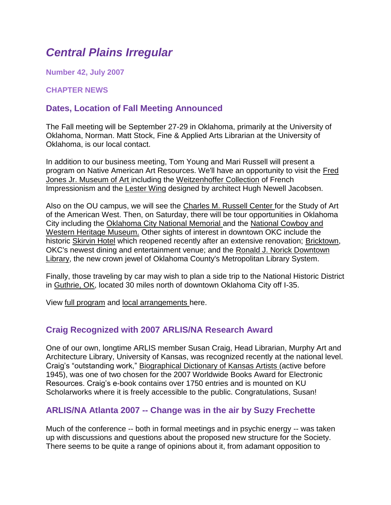# *Central Plains Irregular*

**Number 42, July 2007**

**CHAPTER NEWS**

# **Dates, Location of Fall Meeting Announced**

The Fall meeting will be September 27-29 in Oklahoma, primarily at the University of Oklahoma, Norman. Matt Stock, Fine & Applied Arts Librarian at the University of Oklahoma, is our local contact.

In addition to our business meeting, Tom Young and Mari Russell will present a program on Native American Art Resources. We'll have an opportunity to visit the [Fred](http://www.ou.edu/fjjma/index.html)  [Jones Jr. Museum of Art i](http://www.ou.edu/fjjma/index.html)ncluding the [Weitzenhoffer Collection](http://www.ou.edu/fjjma/collections/collections-weitzenhoffer.html) of French Impressionism and the [Lester Wing](http://www.ou.edu/fjjma/information/new_building.html) designed by architect Hugh Newell Jacobsen.

Also on the OU campus, we will see the [Charles M. Russell Center f](http://www.ou.edu/special/russellcenter/)or the Study of Art of the American West. Then, on Saturday, there will be tour opportunities in Oklahoma City including the [Oklahoma City National Memorial a](http://www.oklahomacitynationalmemorial.org/index.php)nd the [National Cowboy and](http://www.nationalcowboymuseum.org/)  [Western Heritage Museum.](http://www.nationalcowboymuseum.org/) Other sights of interest in downtown OKC include the historic [Skirvin Hotel](http://www.marcusresorts.com/hotel_portfolio/skirvin_OK.asp) which reopened recently after an extensive renovation; [Bricktown,](http://www.okccvb.org/special/bricktown.htm) OKC's newest dining and entertainment venue; and the [Ronald J. Norick Downtown](http://www.metrolibrary.org/mls/mls_library/dn.htm)  [Library,](http://www.metrolibrary.org/mls/mls_library/dn.htm) the new crown jewel of Oklahoma County's Metropolitan Library System.

Finally, those traveling by car may wish to plan a side trip to the National Historic District in [Guthrie, OK,](http://www.guthrieok.com/) located 30 miles north of downtown Oklahoma City off I-35.

View [full program](file:///C:/Documents%20and%20Settings/krizmd/Desktop/arlisna-cp/arlisna-cp/meetings/Program.pdf) and [local arrangements h](file:///C:/Documents%20and%20Settings/krizmd/Desktop/arlisna-cp/arlisna-cp/meetings/Local_Arrange.pdf)ere.

### **Craig Recognized with 2007 ARLIS/NA Research Award**

One of our own, longtime ARLIS member Susan Craig, Head Librarian, Murphy Art and Architecture Library, University of Kansas, was recognized recently at the national level. Craig's "outstanding work," [Biographical Dictionary of Kansas Artists \(](https://kuscholarworks.ku.edu/dspace/bitstream/1808/1028/1/BDKAversion1.pdf)active before 1945), was one of two chosen for the 2007 Worldwide Books Award for Electronic Resources. Craig's e-book contains over 1750 entries and is mounted on KU Scholarworks where it is freely accessible to the public. Congratulations, Susan!

#### **ARLIS/NA Atlanta 2007 -- Change was in the air by Suzy Frechette**

Much of the conference -- both in formal meetings and in psychic energy -- was taken up with discussions and questions about the proposed new structure for the Society. There seems to be quite a range of opinions about it, from adamant opposition to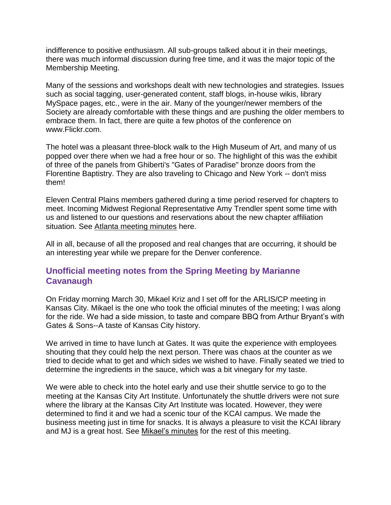indifference to positive enthusiasm. All sub-groups talked about it in their meetings, there was much informal discussion during free time, and it was the major topic of the Membership Meeting.

Many of the sessions and workshops dealt with new technologies and strategies. Issues such as social tagging, user-generated content, staff blogs, in-house wikis, library MySpace pages, etc., were in the air. Many of the younger/newer members of the Society are already comfortable with these things and are pushing the older members to embrace them. In fact, there are quite a few photos of the conference on www.Flickr.com.

The hotel was a pleasant three-block walk to the High Museum of Art, and many of us popped over there when we had a free hour or so. The highlight of this was the exhibit of three of the panels from Ghiberti's "Gates of Paradise" bronze doors from the Florentine Baptistry. They are also traveling to Chicago and New York -- don't miss them!

Eleven Central Plains members gathered during a time period reserved for chapters to meet. Incoming Midwest Regional Representative Amy Trendler spent some time with us and listened to our questions and reservations about the new chapter affiliation situation. See [Atlanta meeting minutes](file:///C:/Documents%20and%20Settings/krizmd/Desktop/arlisna-cp/arlisna-cp/meetings/minutes%20atlanta.pdf) here.

All in all, because of all the proposed and real changes that are occurring, it should be an interesting year while we prepare for the Denver conference.

## **Unofficial meeting notes from the Spring Meeting by Marianne Cavanaugh**

On Friday morning March 30, Mikael Kriz and I set off for the ARLIS/CP meeting in Kansas City. Mikael is the one who took the official minutes of the meeting; I was along for the ride. We had a side mission, to taste and compare BBQ from Arthur Bryant's with Gates & Sons--A taste of Kansas City history.

We arrived in time to have lunch at Gates. It was quite the experience with employees shouting that they could help the next person. There was chaos at the counter as we tried to decide what to get and which sides we wished to have. Finally seated we tried to determine the ingredients in the sauce, which was a bit vinegary for my taste.

We were able to check into the hotel early and use their shuttle service to go to the meeting at the Kansas City Art Institute. Unfortunately the shuttle drivers were not sure where the library at the Kansas City Art Institute was located. However, they were determined to find it and we had a scenic tour of the KCAI campus. We made the business meeting just in time for snacks. It is always a pleasure to visit the KCAI library and MJ is a great host. See [Mikael's minutes](file:///C:/Documents%20and%20Settings/krizmd/Desktop/arlisna-cp/arlisna-cp/meetings/minutes%20mar07.pdf) for the rest of this meeting.